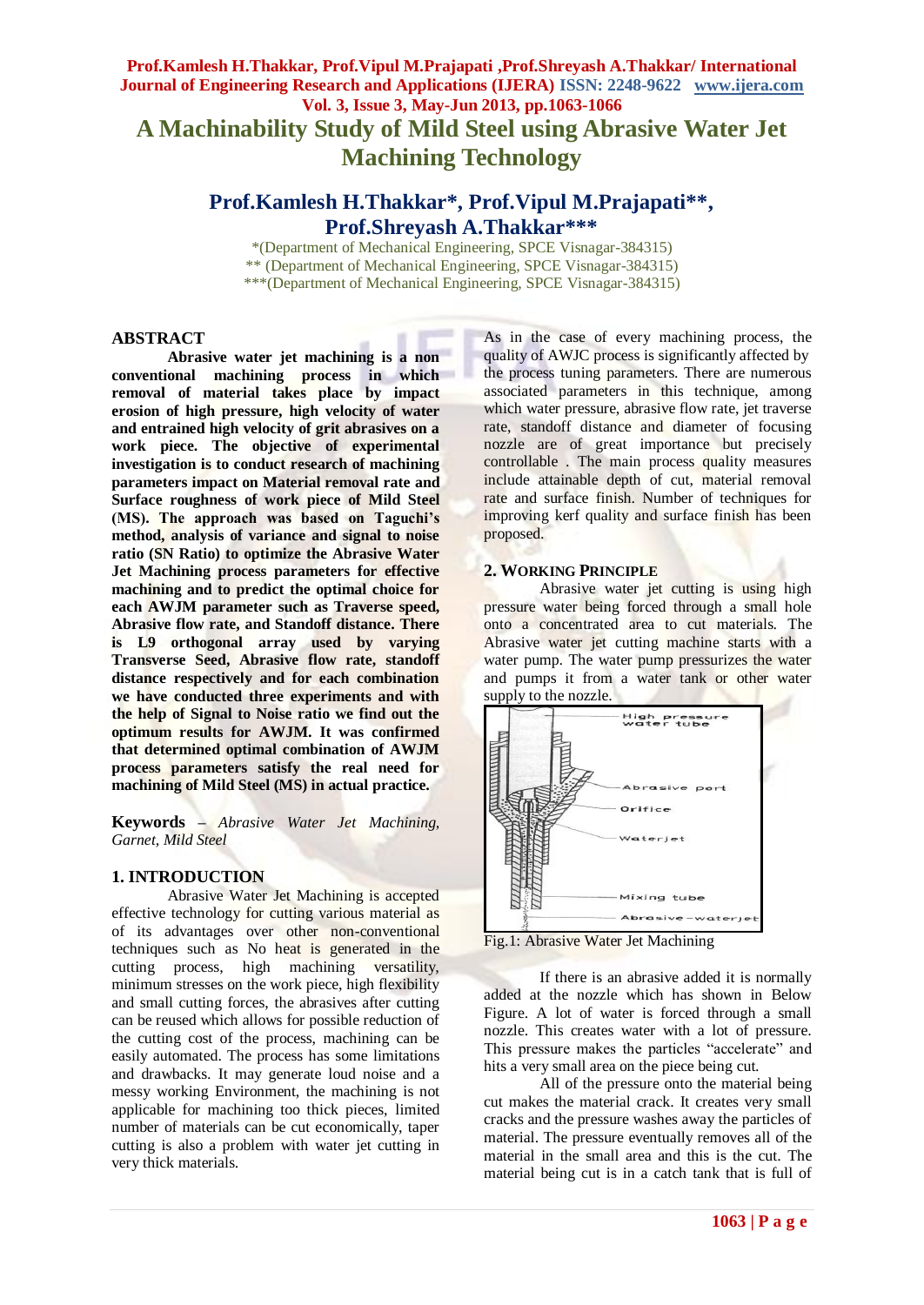# **Prof.Kamlesh H.Thakkar, Prof.Vipul M.Prajapati ,Prof.Shreyash A.Thakkar/ International Journal of Engineering Research and Applications (IJERA) ISSN: 2248-9622 www.ijera.com Vol. 3, Issue 3, May-Jun 2013, pp.1063-1066 A Machinability Study of Mild Steel using Abrasive Water Jet Machining Technology**

# **Prof.Kamlesh H.Thakkar\*, Prof.Vipul M.Prajapati\*\*, Prof.Shreyash A.Thakkar\*\*\***

\*(Department of Mechanical Engineering, SPCE Visnagar-384315) \*\* (Department of Mechanical Engineering, SPCE Visnagar-384315) \*\*\*(Department of Mechanical Engineering, SPCE Visnagar-384315)

### **ABSTRACT**

**Abrasive water jet machining is a non conventional machining process in which removal of material takes place by impact erosion of high pressure, high velocity of water and entrained high velocity of grit abrasives on a work piece. The objective of experimental investigation is to conduct research of machining parameters impact on Material removal rate and Surface roughness of work piece of Mild Steel (MS). The approach was based on Taguchi's method, analysis of variance and signal to noise ratio (SN Ratio) to optimize the Abrasive Water Jet Machining process parameters for effective machining and to predict the optimal choice for each AWJM parameter such as Traverse speed, Abrasive flow rate, and Standoff distance. There is L9 orthogonal array used by varying Transverse Seed, Abrasive flow rate, standoff distance respectively and for each combination we have conducted three experiments and with the help of Signal to Noise ratio we find out the optimum results for AWJM. It was confirmed that determined optimal combination of AWJM process parameters satisfy the real need for machining of Mild Steel (MS) in actual practice.**

**Keywords –** *Abrasive Water Jet Machining, Garnet, Mild Steel*

## **1. INTRODUCTION**

Abrasive Water Jet Machining is accepted effective technology for cutting various material as of its advantages over other non-conventional techniques such as No heat is generated in the cutting process, high machining versatility, minimum stresses on the work piece, high flexibility and small cutting forces, the abrasives after cutting can be reused which allows for possible reduction of the cutting cost of the process, machining can be easily automated. The process has some limitations and drawbacks. It may generate loud noise and a messy working Environment, the machining is not applicable for machining too thick pieces, limited number of materials can be cut economically, taper cutting is also a problem with water jet cutting in very thick materials.

As in the case of every machining process, the quality of AWJC process is significantly affected by the process tuning parameters. There are numerous associated parameters in this technique, among which water pressure, abrasive flow rate, jet traverse rate, standoff distance and diameter of focusing nozzle are of great importance but precisely controllable . The main process quality measures include attainable depth of cut, material removal rate and surface finish. Number of techniques for improving kerf quality and surface finish has been proposed.

#### **2. WORKING PRINCIPLE**

Abrasive water jet cutting is using high pressure water being forced through a small hole onto a concentrated area to cut materials. The Abrasive water jet cutting machine starts with a water pump. The water pump pressurizes the water and pumps it from a water tank or other water supply to the nozzle.



Fig.1: Abrasive Water Jet Machining

If there is an abrasive added it is normally added at the nozzle which has shown in Below Figure. A lot of water is forced through a small nozzle. This creates water with a lot of pressure. This pressure makes the particles "accelerate" and hits a very small area on the piece being cut.

All of the pressure onto the material being cut makes the material crack. It creates very small cracks and the pressure washes away the particles of material. The pressure eventually removes all of the material in the small area and this is the cut. The material being cut is in a catch tank that is full of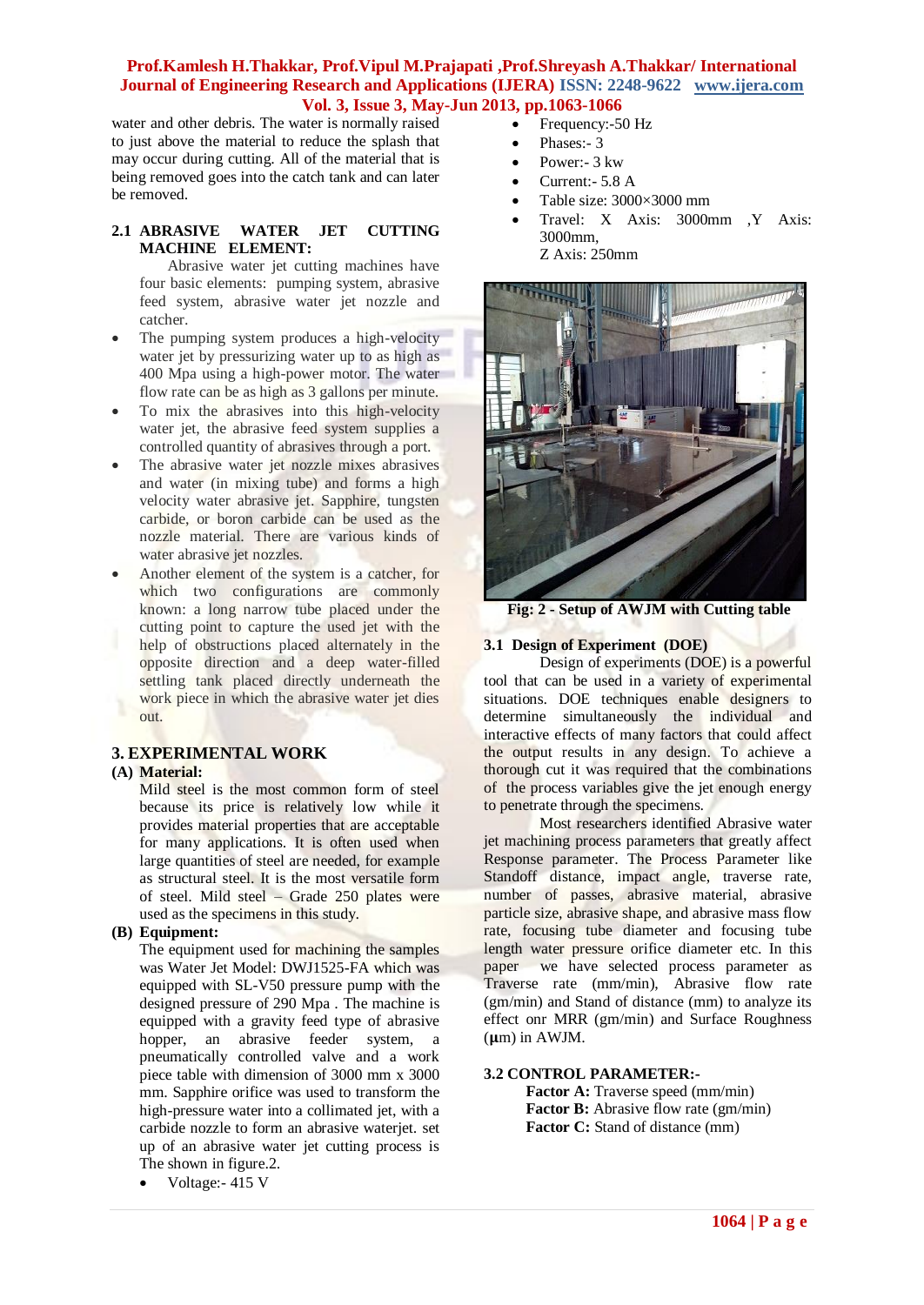## **Prof.Kamlesh H.Thakkar, Prof.Vipul M.Prajapati ,Prof.Shreyash A.Thakkar/ International Journal of Engineering Research and Applications (IJERA) ISSN: 2248-9622 www.ijera.com Vol. 3, Issue 3, May-Jun 2013, pp.1063-1066**

water and other debris. The water is normally raised to just above the material to reduce the splash that may occur during cutting. All of the material that is being removed goes into the catch tank and can later be removed.

## **2.1 ABRASIVE WATER JET CUTTING MACHINE ELEMENT:**

 Abrasive water jet cutting machines have four basic elements: pumping system, abrasive feed system, abrasive water jet nozzle and catcher.

- The pumping system produces a high-velocity water jet by pressurizing water up to as high as 400 Mpa using a high-power motor. The water flow rate can be as high as 3 gallons per minute.
- To mix the abrasives into this high-velocity water jet, the abrasive feed system supplies a controlled quantity of abrasives through a port.
- The abrasive water jet nozzle mixes abrasives and water (in mixing tube) and forms a high velocity water abrasive jet. Sapphire, tungsten carbide, or boron carbide can be used as the nozzle material. There are various kinds of water abrasive jet nozzles.
- Another element of the system is a catcher, for which two configurations are commonly known: a long narrow tube placed under the cutting point to capture the used jet with the help of obstructions placed alternately in the opposite direction and a deep water-filled settling tank placed directly underneath the work piece in which the abrasive water jet dies out.

# **3. EXPERIMENTAL WORK**

## **(A) Material:**

Mild steel is the most common form of steel because its price is relatively low while it provides material properties that are acceptable for many applications. It is often used when large quantities of steel are needed, for example as structural steel. It is the most versatile form of steel. Mild steel – Grade 250 plates were used as the specimens in this study.

#### **(B) Equipment:**

The equipment used for machining the samples was Water Jet Model: DWJ1525-FA which was equipped with SL-V50 pressure pump with the designed pressure of 290 Mpa . The machine is equipped with a gravity feed type of abrasive hopper, an abrasive feeder system, a pneumatically controlled valve and a work piece table with dimension of 3000 mm x 3000 mm. Sapphire orifice was used to transform the high-pressure water into a collimated jet, with a carbide nozzle to form an abrasive waterjet. set up of an abrasive water jet cutting process is The shown in figure.2.

• Voltage: 415 V

- Frequency:-50 Hz
- Phases:- 3
- Power:- 3 kw
- Current:- 5.8 A
- Table size: 3000×3000 mm
- Travel: X Axis: 3000mm ,Y Axis: 3000mm, Z Axis: 250mm



**Fig: 2 - Setup of AWJM with Cutting table**

# **3.1 Design of Experiment (DOE)**

Design of experiments (DOE) is a powerful tool that can be used in a variety of experimental situations. DOE techniques enable designers to determine simultaneously the individual and interactive effects of many factors that could affect the output results in any design. To achieve a thorough cut it was required that the combinations of the process variables give the jet enough energy to penetrate through the specimens.

Most researchers identified Abrasive water jet machining process parameters that greatly affect Response parameter. The Process Parameter like Standoff distance, impact angle, traverse rate, number of passes, abrasive material, abrasive particle size, abrasive shape, and abrasive mass flow rate, focusing tube diameter and focusing tube length water pressure orifice diameter etc. In this paper we have selected process parameter as we have selected process parameter as Traverse rate (mm/min), Abrasive flow rate (gm/min) and Stand of distance (mm) to analyze its effect onr MRR (gm/min) and Surface Roughness  $(\mu m)$  in AWJM.

#### **3.2 CONTROL PARAMETER:-**

**Factor A:** Traverse speed (mm/min) **Factor B:** Abrasive flow rate (gm/min) **Factor C:** Stand of distance (mm)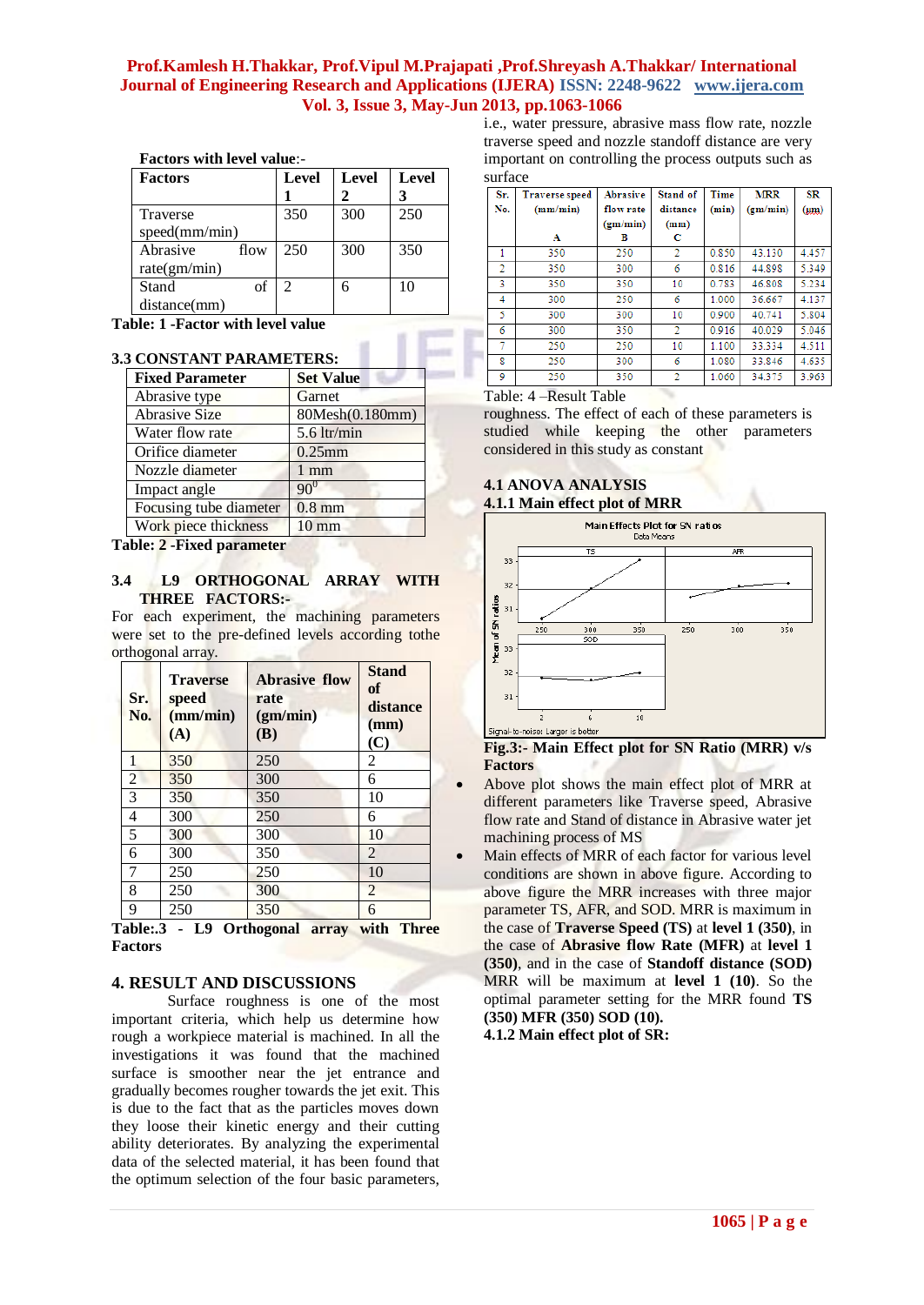## **Prof.Kamlesh H.Thakkar, Prof.Vipul M.Prajapati ,Prof.Shreyash A.Thakkar/ International Journal of Engineering Research and Applications (IJERA) ISSN: 2248-9622 www.ijera.com Vol. 3, Issue 3, May-Jun 2013, pp.1063-1066**

| Factors with level value:- |  |  |
|----------------------------|--|--|
|                            |  |  |

| <b>Factors</b>   | Level | Level | <b>Level</b> |
|------------------|-------|-------|--------------|
| Traverse         | 350   | 300   | 250          |
| speed(mm/min)    |       |       |              |
| Abrasive<br>flow | 250   | 300   | 350          |
| rate(gm/min)     |       |       |              |
| Stand<br>of      | 2     |       | 10           |
| distance(mm)     |       |       |              |

**Table: 1 -Factor with level value** 

#### **3.3 CONSTANT PARAMETERS:**

| <b>Fixed Parameter</b> | <b>Set Value</b> |
|------------------------|------------------|
| Abrasive type          | Garnet           |
| <b>Abrasive Size</b>   | 80Mesh(0.180mm)  |
| Water flow rate        | $5.6$ ltr/min    |
| Orifice diameter       | $0.25$ mm        |
| Nozzle diameter        | $1 \text{ mm}$   |
| Impact angle           | $90^0$           |
| Focusing tube diameter | $0.8$ mm         |
| Work piece thickness   | $10 \text{ mm}$  |

**Table: 2 -Fixed parameter**

#### **3.4 L9 ORTHOGONAL ARRAY WITH THREE FACTORS:-**

For each experiment, the machining parameters were set to the pre-defined levels according tothe orthogonal array.

| Sr.<br>No.     | <b>Traverse</b><br>speed<br>(mm/min)<br>(A) | <b>Abrasive flow</b><br>rate<br>(gm/min)<br>(B) | <b>Stand</b><br>of<br>distance<br>(mm)<br>(C) |
|----------------|---------------------------------------------|-------------------------------------------------|-----------------------------------------------|
| 1              | 350                                         | 250                                             | 2                                             |
| $\overline{2}$ | 350                                         | 300                                             | 6                                             |
| $\overline{3}$ | 350                                         | 350                                             | 10                                            |
| 4              | 300                                         | 250                                             | 6                                             |
| 5              | 300                                         | 300                                             | 10                                            |
| 6              | 300                                         | 350                                             | $\overline{2}$                                |
| 7              | 250                                         | 250                                             | 10                                            |
| 8              | 250                                         | 300                                             | 2                                             |
| 9              | 250                                         | 350                                             | 6                                             |

**Table:.3 - L9 Orthogonal array with Three Factors**

# **4. RESULT AND DISCUSSIONS**

Surface roughness is one of the most important criteria, which help us determine how rough a workpiece material is machined. In all the investigations it was found that the machined surface is smoother near the jet entrance and gradually becomes rougher towards the jet exit. This is due to the fact that as the particles moves down they loose their kinetic energy and their cutting ability deteriorates. By analyzing the experimental data of the selected material, it has been found that the optimum selection of the four basic parameters, i.e., water pressure, abrasive mass flow rate, nozzle traverse speed and nozzle standoff distance are very important on controlling the process outputs such as surface

| Sr.<br>No.     | <b>Traverse speed</b><br>(mm/min) | <b>Abrasive</b><br>flow rate<br>(gm/min) | Stand of<br>distance<br>(mm) | Time<br>(min) | <b>MRR</b><br>(gm/min) | SR<br>$(\mu m)$ |
|----------------|-----------------------------------|------------------------------------------|------------------------------|---------------|------------------------|-----------------|
|                | А                                 | в                                        | с                            |               |                        |                 |
| 1              | 350                               | 250                                      | 2                            | 0.850         | 43.130                 | 4.457           |
| $\overline{2}$ | 350                               | 300                                      | 6                            | 0.816         | 44.898                 | 5.349           |
| 3              | 350                               | 350                                      | 10                           | 0.783         | 46.808                 | 5.234           |
| 4              | 300                               | 250                                      | 6                            | 1.000         | 36.667                 | 4.137           |
| 5              | 300                               | 300                                      | 10                           | 0.900         | 40.741                 | 5.804           |
| 6              | 300                               | 350                                      | 2                            | 0.916         | 40.029                 | 5.046           |
|                | 250                               | 250                                      | 10                           | 1.100         | 33.334                 | 4.511           |
| g              | 250                               | 300                                      | 6                            | 1.080         | 33.846                 | 4.635           |
| 9              | 250                               | 350                                      | 2                            | 1.060         | 34.375                 | 3.963           |

Table: 4 –Result Table

roughness. The effect of each of these parameters is studied while keeping the other parameters considered in this study as constant

## **4.1 ANOVA ANALYSIS 4.1.1 Main effect plot of MRR**



**Fig.3:- Main Effect plot for SN Ratio (MRR) v/s Factors**

- Above plot shows the main effect plot of MRR at different parameters like Traverse speed, Abrasive flow rate and Stand of distance in Abrasive water jet machining process of MS
- Main effects of MRR of each factor for various level conditions are shown in above figure. According to above figure the MRR increases with three major parameter TS, AFR, and SOD. MRR is maximum in the case of **Traverse Speed (TS)** at **level 1 (350)**, in the case of **Abrasive flow Rate (MFR)** at **level 1 (350)**, and in the case of **Standoff distance (SOD)**  MRR will be maximum at **level 1 (10)**. So the optimal parameter setting for the MRR found **TS (350) MFR (350) SOD (10).**

**4.1.2 Main effect plot of SR:**